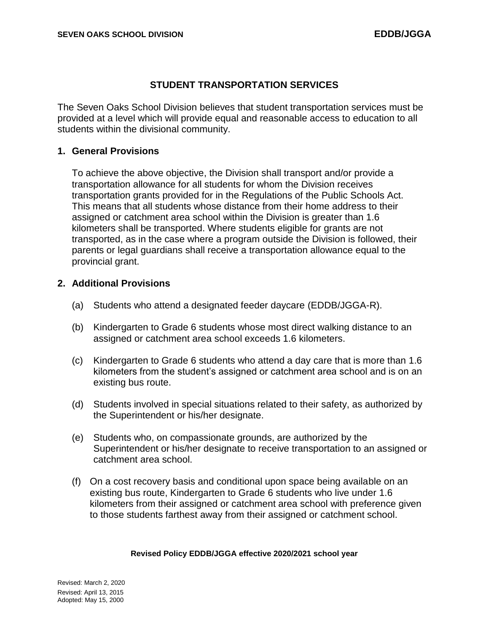# **STUDENT TRANSPORTATION SERVICES**

The Seven Oaks School Division believes that student transportation services must be provided at a level which will provide equal and reasonable access to education to all students within the divisional community.

### **1. General Provisions**

To achieve the above objective, the Division shall transport and/or provide a transportation allowance for all students for whom the Division receives transportation grants provided for in the Regulations of the Public Schools Act. This means that all students whose distance from their home address to their assigned or catchment area school within the Division is greater than 1.6 kilometers shall be transported. Where students eligible for grants are not transported, as in the case where a program outside the Division is followed, their parents or legal guardians shall receive a transportation allowance equal to the provincial grant.

## **2. Additional Provisions**

- (a) Students who attend a designated feeder daycare (EDDB/JGGA-R).
- (b) Kindergarten to Grade 6 students whose most direct walking distance to an assigned or catchment area school exceeds 1.6 kilometers.
- (c) Kindergarten to Grade 6 students who attend a day care that is more than 1.6 kilometers from the student's assigned or catchment area school and is on an existing bus route.
- (d) Students involved in special situations related to their safety, as authorized by the Superintendent or his/her designate.
- (e) Students who, on compassionate grounds, are authorized by the Superintendent or his/her designate to receive transportation to an assigned or catchment area school.
- (f) On a cost recovery basis and conditional upon space being available on an existing bus route, Kindergarten to Grade 6 students who live under 1.6 kilometers from their assigned or catchment area school with preference given to those students farthest away from their assigned or catchment school.

#### **Revised Policy EDDB/JGGA effective 2020/2021 school year**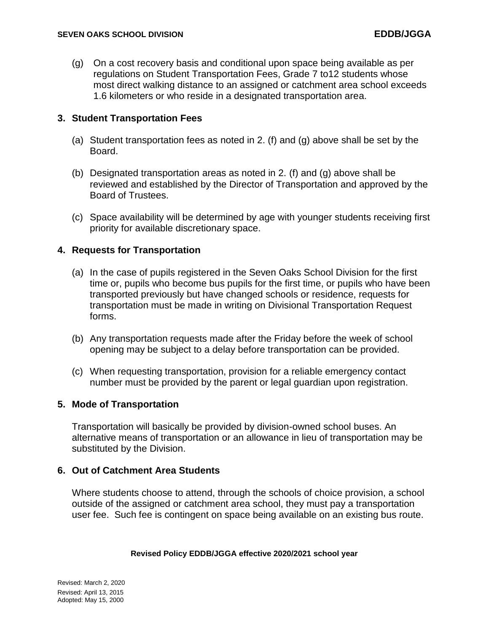(g) On a cost recovery basis and conditional upon space being available as per regulations on Student Transportation Fees, Grade 7 to12 students whose most direct walking distance to an assigned or catchment area school exceeds 1.6 kilometers or who reside in a designated transportation area.

# **3. Student Transportation Fees**

- (a) Student transportation fees as noted in 2. (f) and (g) above shall be set by the Board.
- (b) Designated transportation areas as noted in 2. (f) and (g) above shall be reviewed and established by the Director of Transportation and approved by the Board of Trustees.
- (c) Space availability will be determined by age with younger students receiving first priority for available discretionary space.

# **4. Requests for Transportation**

- (a) In the case of pupils registered in the Seven Oaks School Division for the first time or, pupils who become bus pupils for the first time, or pupils who have been transported previously but have changed schools or residence, requests for transportation must be made in writing on Divisional Transportation Request forms.
- (b) Any transportation requests made after the Friday before the week of school opening may be subject to a delay before transportation can be provided.
- (c) When requesting transportation, provision for a reliable emergency contact number must be provided by the parent or legal guardian upon registration.

## **5. Mode of Transportation**

Transportation will basically be provided by division-owned school buses. An alternative means of transportation or an allowance in lieu of transportation may be substituted by the Division.

# **6. Out of Catchment Area Students**

Where students choose to attend, through the schools of choice provision, a school outside of the assigned or catchment area school, they must pay a transportation user fee. Such fee is contingent on space being available on an existing bus route.

### **Revised Policy EDDB/JGGA effective 2020/2021 school year**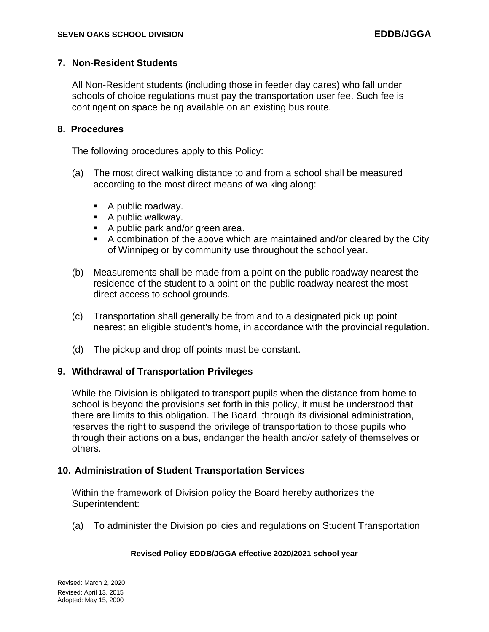## **7. Non-Resident Students**

All Non-Resident students (including those in feeder day cares) who fall under schools of choice regulations must pay the transportation user fee. Such fee is contingent on space being available on an existing bus route.

## **8. Procedures**

The following procedures apply to this Policy:

- (a) The most direct walking distance to and from a school shall be measured according to the most direct means of walking along:
	- A public roadway.
	- $\blacksquare$  A public walkway.
	- A public park and/or green area.
	- A combination of the above which are maintained and/or cleared by the City of Winnipeg or by community use throughout the school year.
- (b) Measurements shall be made from a point on the public roadway nearest the residence of the student to a point on the public roadway nearest the most direct access to school grounds.
- (c) Transportation shall generally be from and to a designated pick up point nearest an eligible student's home, in accordance with the provincial regulation.
- (d) The pickup and drop off points must be constant.

## **9. Withdrawal of Transportation Privileges**

While the Division is obligated to transport pupils when the distance from home to school is beyond the provisions set forth in this policy, it must be understood that there are limits to this obligation. The Board, through its divisional administration, reserves the right to suspend the privilege of transportation to those pupils who through their actions on a bus, endanger the health and/or safety of themselves or others.

## **10. Administration of Student Transportation Services**

Within the framework of Division policy the Board hereby authorizes the Superintendent:

(a) To administer the Division policies and regulations on Student Transportation

### **Revised Policy EDDB/JGGA effective 2020/2021 school year**